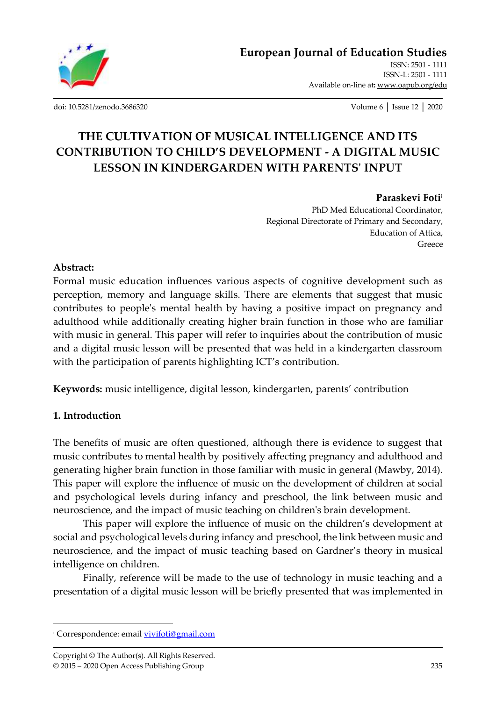

[ISSN: 2501 -](http://oapub.org/edu/index.php/ejes) 1111 [ISSN-L: 2501 -](http://oapub.org/edu/index.php/ejes) 1111 Available on-line at**:** [www.oapub.org/edu](http://www.oapub.org/edu)

[doi: 10.5281/zenodo.3686320](http://dx.doi.org/10.5281/zenodo.3686320) Volume 6 │ Issue 12 │ 2020

# **THE CULTIVATION OF MUSICAL INTELLIGENCE AND ITS CONTRIBUTION TO CHILD'S DEVELOPMENT - A DIGITAL MUSIC LESSON IN KINDERGARDEN WITH PARENTS' INPUT**

### **Paraskevi Foti<sup>i</sup>**

PhD Med Educational Coordinator, Regional Directorate of Primary and Secondary, Education of Attica, Greece

# **Abstract:**

Formal music education influences various aspects of cognitive development such as perception, memory and language skills. There are elements that suggest that music contributes to people's mental health by having a positive impact on pregnancy and adulthood while additionally creating higher brain function in those who are familiar with music in general. This paper will refer to inquiries about the contribution of music and a digital music lesson will be presented that was held in a kindergarten classroom with the participation of parents highlighting ICT's contribution.

**Keywords:** music intelligence, digital lesson, kindergarten, parents' contribution

# **1. Introduction**

The benefits of music are often questioned, although there is evidence to suggest that music contributes to mental health by positively affecting pregnancy and adulthood and generating higher brain function in those familiar with music in general (Mawby, 2014). This paper will explore the influence of music on the development of children at social and psychological levels during infancy and preschool, the link between music and neuroscience, and the impact of music teaching on children's brain development.

This paper will explore the influence of music on the children's development at social and psychological levels during infancy and preschool, the link between music and neuroscience, and the impact of music teaching based on Gardner's theory in musical intelligence on children.

Finally, reference will be made to the use of technology in music teaching and a presentation of a digital music lesson will be briefly presented that was implemented in

<sup>&</sup>lt;sup>i</sup> Correspondence: emai[l vivifoti@gmail.com](mailto:vivifoti@gmail.com)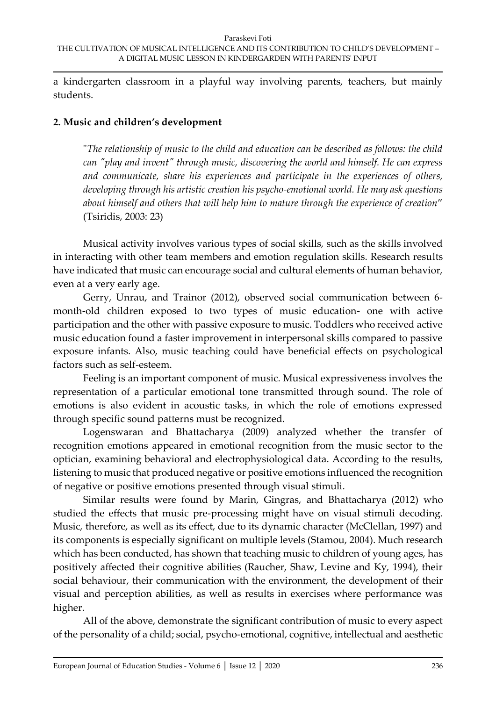a kindergarten classroom in a playful way involving parents, teachers, but mainly students.

### **2. Music and children's development**

"*The relationship of music to the child and education can be described as follows: the child can "play and invent" through music, discovering the world and himself. He can express and communicate, share his experiences and participate in the experiences of others, developing through his artistic creation his psycho-emotional world. He may ask questions about himself and others that will help him to mature through the experience of creation*" (Tsiridis, 2003: 23)

Musical activity involves various types of social skills, such as the skills involved in interacting with other team members and emotion regulation skills. Research results have indicated that music can encourage social and cultural elements of human behavior, even at a very early age.

Gerry, Unrau, and Trainor (2012), observed social communication between 6 month-old children exposed to two types of music education- one with active participation and the other with passive exposure to music. Toddlers who received active music education found a faster improvement in interpersonal skills compared to passive exposure infants. Also, music teaching could have beneficial effects on psychological factors such as self-esteem.

Feeling is an important component of music. Musical expressiveness involves the representation of a particular emotional tone transmitted through sound. The role of emotions is also evident in acoustic tasks, in which the role of emotions expressed through specific sound patterns must be recognized.

Logenswaran and Bhattacharya (2009) analyzed whether the transfer of recognition emotions appeared in emotional recognition from the music sector to the optician, examining behavioral and electrophysiological data. According to the results, listening to music that produced negative or positive emotions influenced the recognition of negative or positive emotions presented through visual stimuli.

Similar results were found by Marin, Gingras, and Bhattacharya (2012) who studied the effects that music pre-processing might have on visual stimuli decoding. Music, therefore, as well as its effect, due to its dynamic character (McClellan, 1997) and its components is especially significant on multiple levels (Stamou, 2004). Much research which has been conducted, has shown that teaching music to children of young ages, has positively affected their cognitive abilities (Raucher, Shaw, Levine and Ky, 1994), their social behaviour, their communication with the environment, the development of their visual and perception abilities, as well as results in exercises where performance was higher.

All of the above, demonstrate the significant contribution of music to every aspect of the personality of a child; social, psycho-emotional, cognitive, intellectual and aesthetic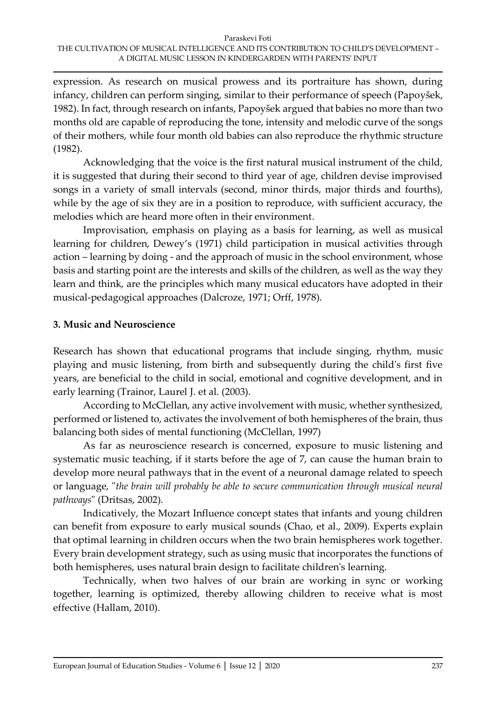expression. As research on musical prowess and its portraiture has shown, during infancy, children can perform singing, similar to their performance of speech (Papoyšek, 1982). In fact, through research on infants, Papoyšek argued that babies no more than two months old are capable of reproducing the tone, intensity and melodic curve of the songs of their mothers, while four month old babies can also reproduce the rhythmic structure (1982).

Acknowledging that the voice is the first natural musical instrument of the child, it is suggested that during their second to third year of age, children devise improvised songs in a variety of small intervals (second, minor thirds, major thirds and fourths), while by the age of six they are in a position to reproduce, with sufficient accuracy, the melodies which are heard more often in their environment.

Improvisation, emphasis on playing as a basis for learning, as well as musical learning for children, Dewey's (1971) child participation in musical activities through action – learning by doing - and the approach of music in the school environment, whose basis and starting point are the interests and skills of the children, as well as the way they learn and think, are the principles which many musical educators have adopted in their musical-pedagogical approaches (Dalcroze, 1971; Orff, 1978).

# **3. Music and Neuroscience**

Research has shown that educational programs that include singing, rhythm, music playing and music listening, from birth and subsequently during the child's first five years, are beneficial to the child in social, emotional and cognitive development, and in early learning (Trainor, Laurel J. et al. (2003).

According to McClellan, any active involvement with music, whether synthesized, performed or listened to, activates the involvement of both hemispheres of the brain, thus balancing both sides of mental functioning (McClellan, 1997)

As far as neuroscience research is concerned, exposure to music listening and systematic music teaching, if it starts before the age of 7, can cause the human brain to develop more neural pathways that in the event of a neuronal damage related to speech or language, "*the brain will probably be able to secure communication through musical neural pathways*" (Dritsas, 2002).

Indicatively, the Mozart Influence concept states that infants and young children can benefit from exposure to early musical sounds (Chao, et al., 2009). Experts explain that optimal learning in children occurs when the two brain hemispheres work together. Every brain development strategy, such as using music that incorporates the functions of both hemispheres, uses natural brain design to facilitate children's learning.

Technically, when two halves of our brain are working in sync or working together, learning is optimized, thereby allowing children to receive what is most effective (Hallam, 2010).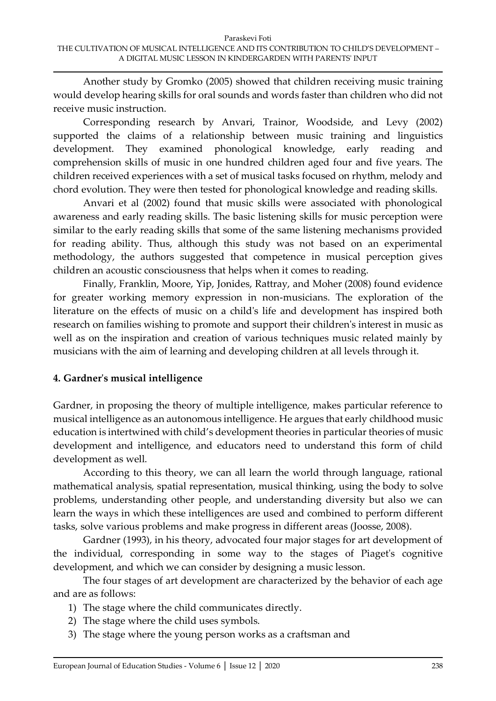Another study by Gromko (2005) showed that children receiving music training would develop hearing skills for oral sounds and words faster than children who did not receive music instruction.

Corresponding research by Anvari, Trainor, Woodside, and Levy (2002) supported the claims of a relationship between music training and linguistics development. They examined phonological knowledge, early reading and comprehension skills of music in one hundred children aged four and five years. The children received experiences with a set of musical tasks focused on rhythm, melody and chord evolution. They were then tested for phonological knowledge and reading skills.

Anvari et al (2002) found that music skills were associated with phonological awareness and early reading skills. The basic listening skills for music perception were similar to the early reading skills that some of the same listening mechanisms provided for reading ability. Thus, although this study was not based on an experimental methodology, the authors suggested that competence in musical perception gives children an acoustic consciousness that helps when it comes to reading.

Finally, Franklin, Moore, Yip, Jonides, Rattray, and Moher (2008) found evidence for greater working memory expression in non-musicians. The exploration of the literature on the effects of music on a child's life and development has inspired both research on families wishing to promote and support their children's interest in music as well as on the inspiration and creation of various techniques music related mainly by musicians with the aim of learning and developing children at all levels through it.

# **4. Gardner's musical intelligence**

Gardner, in proposing the theory of multiple intelligence, makes particular reference to musical intelligence as an autonomous intelligence. He argues that early childhood music education is intertwined with child's development theories in particular theories of music development and intelligence, and educators need to understand this form of child development as well.

According to this theory, we can all learn the world through language, rational mathematical analysis, spatial representation, musical thinking, using the body to solve problems, understanding other people, and understanding diversity but also we can learn the ways in which these intelligences are used and combined to perform different tasks, solve various problems and make progress in different areas (Joosse, 2008).

Gardner (1993), in his theory, advocated four major stages for art development of the individual, corresponding in some way to the stages of Piaget's cognitive development, and which we can consider by designing a music lesson.

The four stages of art development are characterized by the behavior of each age and are as follows:

- 1) The stage where the child communicates directly.
- 2) The stage where the child uses symbols.
- 3) The stage where the young person works as a craftsman and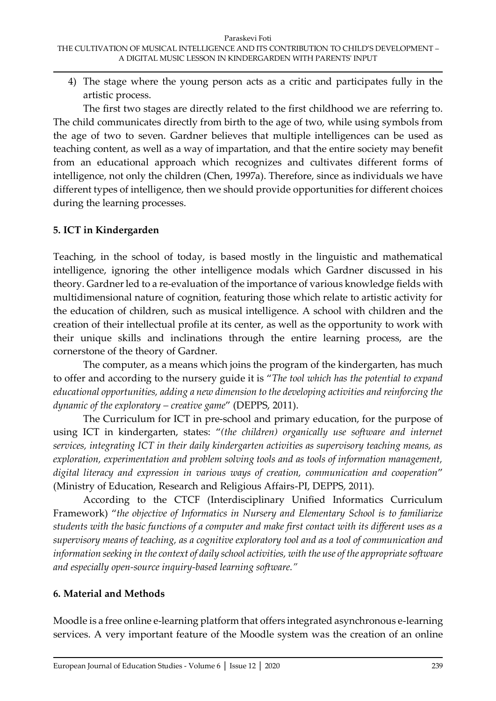4) The stage where the young person acts as a critic and participates fully in the artistic process.

The first two stages are directly related to the first childhood we are referring to. The child communicates directly from birth to the age of two, while using symbols from the age of two to seven. Gardner believes that multiple intelligences can be used as teaching content, as well as a way of impartation, and that the entire society may benefit from an educational approach which recognizes and cultivates different forms of intelligence, not only the children (Chen, 1997a). Therefore, since as individuals we have different types of intelligence, then we should provide opportunities for different choices during the learning processes.

# **5. ICT in Kindergarden**

Teaching, in the school of today, is based mostly in the linguistic and mathematical intelligence, ignoring the other intelligence modals which Gardner discussed in his theory. Gardner led to a re-evaluation of the importance of various knowledge fields with multidimensional nature of cognition, featuring those which relate to artistic activity for the education of children, such as musical intelligence. A school with children and the creation of their intellectual profile at its center, as well as the opportunity to work with their unique skills and inclinations through the entire learning process, are the cornerstone of the theory of Gardner.

The computer, as a means which joins the program of the kindergarten, has much to offer and according to the nursery guide it is "*The tool which has the potential to expand educational opportunities, adding a new dimension to the developing activities and reinforcing the dynamic of the exploratory – creative game*" (DEPPS, 2011).

The Curriculum for ICT in pre-school and primary education, for the purpose of using ICT in kindergarten, states: "*(the children) organically use software and internet services, integrating ICT in their daily kindergarten activities as supervisory teaching means, as exploration, experimentation and problem solving tools and as tools of information management, digital literacy and expression in various ways of creation, communication and cooperation*" (Ministry of Education, Research and Religious Affairs-PI, DEPPS, 2011).

According to the CTCF (Interdisciplinary Unified Informatics Curriculum Framework) "*the objective of Informatics in Nursery and Elementary School is to familiarize students with the basic functions of a computer and make first contact with its different uses as a supervisory means of teaching, as a cognitive exploratory tool and as a tool of communication and information seeking in the context of daily school activities, with the use of the appropriate software and especially open-source inquiry-based learning software."*

# **6. Material and Methods**

Moodle is a free online e-learning platform that offers integrated asynchronous e-learning services. A very important feature of the Moodle system was the creation of an online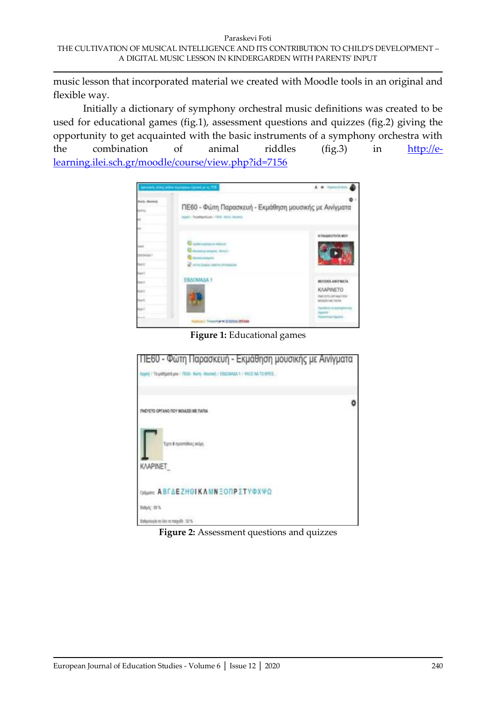music lesson that incorporated material we created with Moodle tools in an original and flexible way.

Initially a dictionary of symphony orchestral music definitions was created to be used for educational games (fig.1), assessment questions and quizzes (fig.2) giving the opportunity to get acquainted with the basic instruments of a symphony orchestra with the combination of animal riddles (fig.3) in [http://e](http://e-learning.ilei.sch.gr/moodle/course/view.php?id=7156)[learning.ilei.sch.gr/moodle/course/view.php?id=7156](http://e-learning.ilei.sch.gr/moodle/course/view.php?id=7156)



**Figure 1:** Educational games



**Figure 2:** Assessment questions and quizzes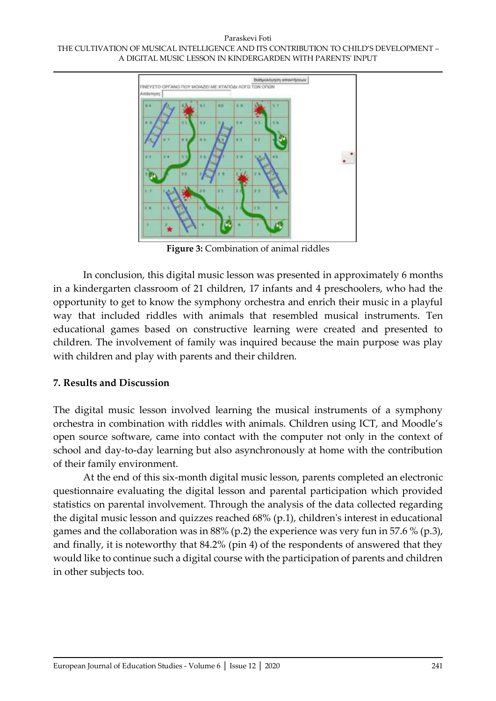

**Figure 3:** Combination of animal riddles

In conclusion, this digital music lesson was presented in approximately 6 months in a kindergarten classroom of 21 children, 17 infants and 4 preschoolers, who had the opportunity to get to know the symphony orchestra and enrich their music in a playful way that included riddles with animals that resembled musical instruments. Ten educational games based on constructive learning were created and presented to children. The involvement of family was inquired because the main purpose was play with children and play with parents and their children.

### **7. Results and Discussion**

The digital music lesson involved learning the musical instruments of a symphony orchestra in combination with riddles with animals. Children using ICT, and Moodle's open source software, came into contact with the computer not only in the context of school and day-to-day learning but also asynchronously at home with the contribution of their family environment.

At the end of this six-month digital music lesson, parents completed an electronic questionnaire evaluating the digital lesson and parental participation which provided statistics on parental involvement. Through the analysis of the data collected regarding the digital music lesson and quizzes reached 68% (p.1), children's interest in educational games and the collaboration was in 88% (p.2) the experience was very fun in 57.6 % (p.3), and finally, it is noteworthy that 84.2% (pin 4) of the respondents of answered that they would like to continue such a digital course with the participation of parents and children in other subjects too.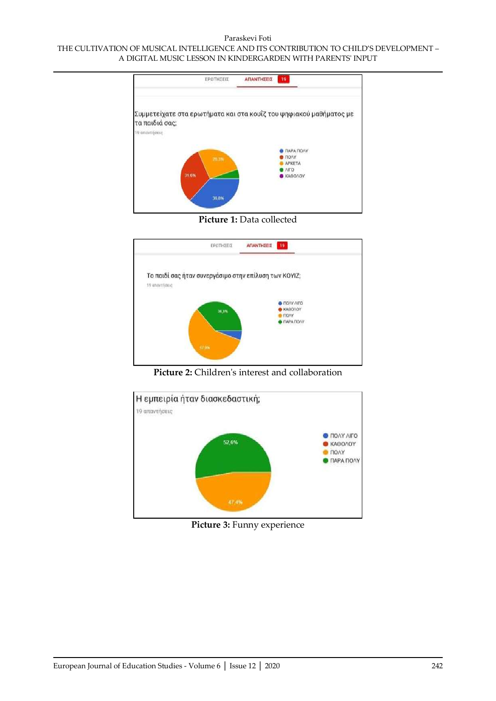

**Picture 1:** Data collected



**Picture 2:** Children's interest and collaboration



**Picture 3:** Funny experience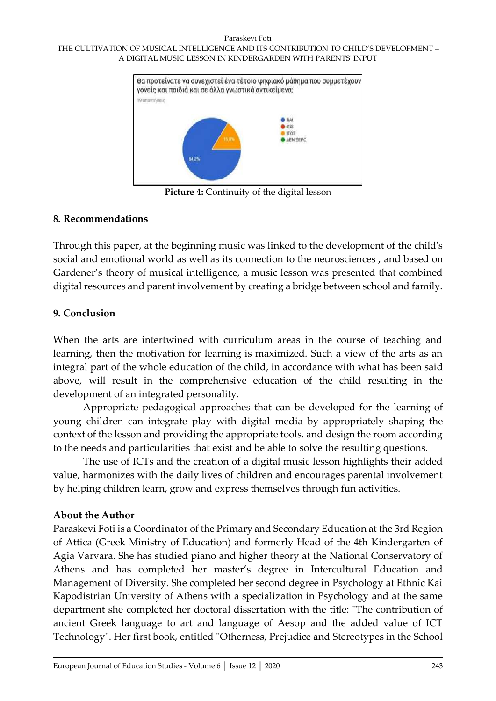

**Picture 4:** Continuity of the digital lesson

### **8. Recommendations**

Through this paper, at the beginning music was linked to the development of the child's social and emotional world as well as its connection to the neurosciences , and based on Gardener's theory of musical intelligence, a music lesson was presented that combined digital resources and parent involvement by creating a bridge between school and family.

# **9. Conclusion**

When the arts are intertwined with curriculum areas in the course of teaching and learning, then the motivation for learning is maximized. Such a view of the arts as an integral part of the whole education of the child, in accordance with what has been said above, will result in the comprehensive education of the child resulting in the development of an integrated personality.

Appropriate pedagogical approaches that can be developed for the learning of young children can integrate play with digital media by appropriately shaping the context of the lesson and providing the appropriate tools. and design the room according to the needs and particularities that exist and be able to solve the resulting questions.

The use of ICTs and the creation of a digital music lesson highlights their added value, harmonizes with the daily lives of children and encourages parental involvement by helping children learn, grow and express themselves through fun activities.

### **About the Author**

Paraskevi Foti is a Coordinator of the Primary and Secondary Education at the 3rd Region of Attica (Greek Ministry of Education) and formerly Head of the 4th Kindergarten of Agia Varvara. She has studied piano and higher theory at the National Conservatory of Athens and has completed her master's degree in Intercultural Education and Management of Diversity. She completed her second degree in Psychology at Ethnic Kai Kapodistrian University of Athens with a specialization in Psychology and at the same department she completed her doctoral dissertation with the title: "The contribution of ancient Greek language to art and language of Aesop and the added value of ICT Technology". Her first book, entitled "Otherness, Prejudice and Stereotypes in the School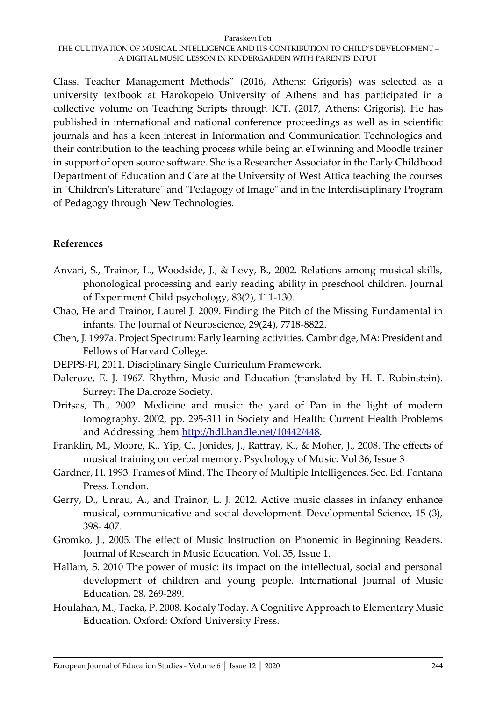Class. Teacher Management Methods" (2016, Athens: Grigoris) was selected as a university textbook at Harokopeio University of Athens and has participated in a collective volume on Teaching Scripts through ICT. (2017, Athens: Grigoris). He has published in international and national conference proceedings as well as in scientific journals and has a keen interest in Information and Communication Technologies and their contribution to the teaching process while being an eTwinning and Moodle trainer in support of open source software. She is a Researcher Associator in the Early Childhood Department of Education and Care at the University of West Attica teaching the courses in "Children's Literature" and "Pedagogy of Image" and in the Interdisciplinary Program of Pedagogy through New Technologies.

# **References**

- Anvari, S., Trainor, L., Woodside, J., & Levy, B., 2002. Relations among musical skills, phonological processing and early reading ability in preschool children. Journal of Experiment Child psychology, 83(2), 111-130.
- Chao, He and Trainor, Laurel J. 2009. Finding the Pitch of the Missing Fundamental in infants. The Journal of Neuroscience, 29(24), 7718-8822.
- Chen, J. 1997a. Project Spectrum: Early learning activities. Cambridge, MA: President and Fellows of Harvard College.
- DEPPS-PI, 2011. Disciplinary Single Curriculum Framework.
- Dalcroze, E. J. 1967. Rhythm, Music and Education (translated by H. F. Rubinstein). Surrey: The Dalcroze Society.
- Dritsas, Th., 2002. Medicine and music: the yard of Pan in the light of modern tomography. 2002, pp. 295-311 in Society and Health: Current Health Problems and Addressing them [http://hdl.handle.net/10442/448.](http://hdl.handle.net/10442/448)
- Franklin, M., Moore, K., Yip, C., Jonides, J., Rattray, K., & Moher, J., 2008. The effects of musical training on verbal memory. Psychology of Music. Vol 36, Issue 3
- Gardner, H. 1993. Frames of Mind. The Theory of Multiple Intelligences. Sec. Ed. Fontana Press. London.
- Gerry, D., Unrau, A., and Trainor, L. J. 2012. Active music classes in infancy enhance musical, communicative and social development. Developmental Science, 15 (3), 398- 407.
- Gromko, J., 2005. The effect of Music Instruction on Phonemic in Beginning Readers. Journal of Research in Music Education. Vol. 35, Issue 1.
- Hallam, S. 2010 The power of music: its impact on the intellectual, social and personal development of children and young people. International Journal of Music Education, 28, 269-289.
- Houlahan, M., Tacka, P. 2008. Kodaly Today. A Cognitive Approach to Elementary Music Education. Oxford: Oxford University Press.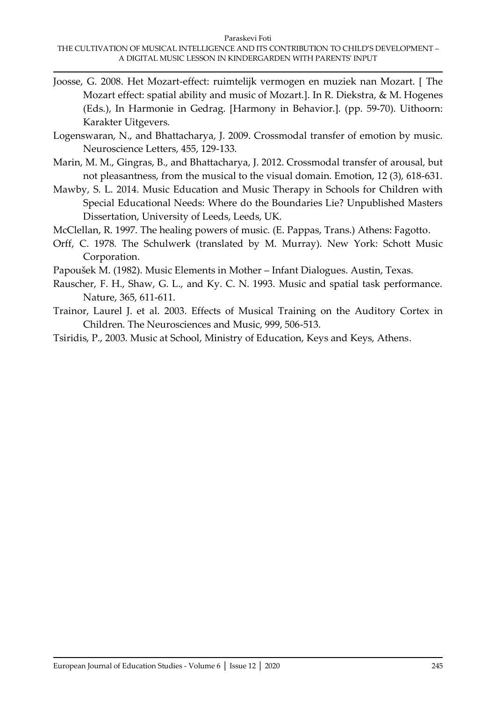- Joosse, G. 2008. Het Mozart-effect: ruimtelijk vermogen en muziek nan Mozart. [ The Mozart effect: spatial ability and music of Mozart.]. In R. Diekstra, & M. Hogenes (Eds.), In Harmonie in Gedrag. [Harmony in Behavior.]. (pp. 59-70). Uithoorn: Karakter Uitgevers.
- Logenswaran, N., and Bhattacharya, J. 2009. Crossmodal transfer of emotion by music. Neuroscience Letters, 455, 129-133.
- Marin, M. M., Gingras, B., and Bhattacharya, J. 2012. Crossmodal transfer of arousal, but not pleasantness, from the musical to the visual domain. Emotion, 12 (3), 618-631.
- Mawby, S. L. 2014. Music Education and Music Therapy in Schools for Children with Special Educational Needs: Where do the Boundaries Lie? Unpublished Masters Dissertation, University of Leeds, Leeds, UK.
- McClellan, R. 1997. The healing powers of music. (E. Pappas, Trans.) Athens: Fagotto.
- Orff, C. 1978. The Schulwerk (translated by M. Murray). New York: Schott Music Corporation.
- Papoušek M. (1982). Music Elements in Mother Infant Dialogues. Austin, Texas.
- Rauscher, F. H., Shaw, G. L., and Ky. C. N. 1993. Music and spatial task performance. Nature, 365, 611-611.
- Trainor, Laurel J. et al. 2003. Effects of Musical Training on the Auditory Cortex in Children. The Neurosciences and Music, 999, 506-513.
- Tsiridis, P., 2003. Music at School, Ministry of Education, Keys and Keys, Athens.